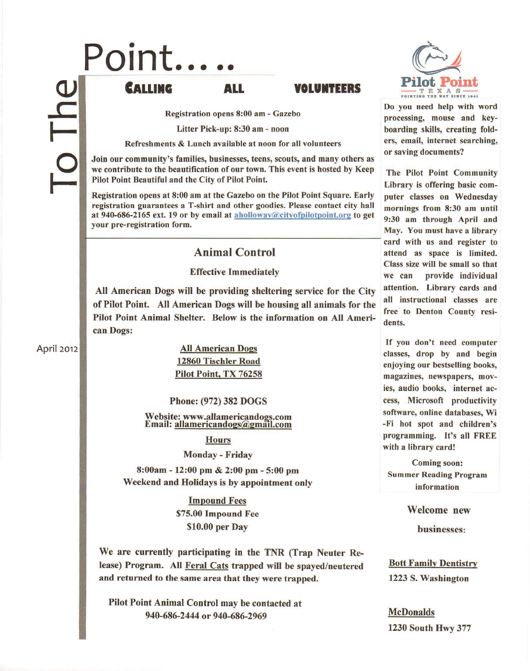# $\bf \bf U$  $\overline{\mathsf{h}}$ I- ~ **Point...**

# **CALUNG ALL 'OLUNTEERS**

Registration opens 8:00 am - Gazebo

Litter Pick-up: 8:30 am - noon

Refreshments & Lunch available at noon for all volunteers

Join our community's families, businesses, teens, scouts, and many others as we contribute to the beautification of our town. This event is hosted by Keep Pilot Point Beautiful and the City of Pilot Point.

Registration opens at 8:00 am at the Gazebo on the Pilot Point Square. Early registration guarantees a T-shirt and other goodies. Please contact city hall at 940-686-2165 ext. 19 or by email at aholloway@cityofpilotpoint.org to get your pre-registration form.

## Animal Control

All American Dogs will be providing sheltering service for the City attention. Library cards and of Pilot Point. All American Dogs will be housing all animals for the all instructional classes are Pilot Point Animal Shelter. Below is the information on All American Dogs:

April 2012

All American Dogs 12860 Tischler Road Pilot Point, TX 76258

Phone: (972) 382 DOGS

Website: www.allamericandogs.c Email: allamericandogs@gmail.c

**Hours** 

Monday - Friday

8:00am - 12:00 pm & 2:00 pm - 5:00 pm Weekend and Holidays is by appointment only

> Impound Fees \$75.00 Impound Fee \$10.00 per Day

We are currently participating in the TNR (Trap Neuter Release) Program. All Feral Cats trapped will be spayed/neutered and returned to the same area that they were trapped.

Pilot Point Animal Control may be contacted at 940-686-2444 or 940-686-2969



Do you need help with word processing, mouse and keyboarding skills, creating folders, email, internet searching, or saving documents?

The Pilot Point Community Library is offering basic computer classes on Wednesday mornings from 8:30 am until 9:30 am through April and May. You must have a library card with us and register to attend as space is limited. Class size will be small so that Effective Immediately we can provide individual free to Denton County resi-

> If you don't need computer classes, drop by and begin enjoying our bestselling books, magazines, newspapers, movies, audio books, internet access, Microsoft productivity software, online databases, Wi -Fi hot spot and children's programming. It's all FREE with a library card!

Coming soon: Summer Reading Program information

Welcome new

businesses:

Bott Family Dentistry 1223 S. Washington

McDonalds 1230 South Hwy 377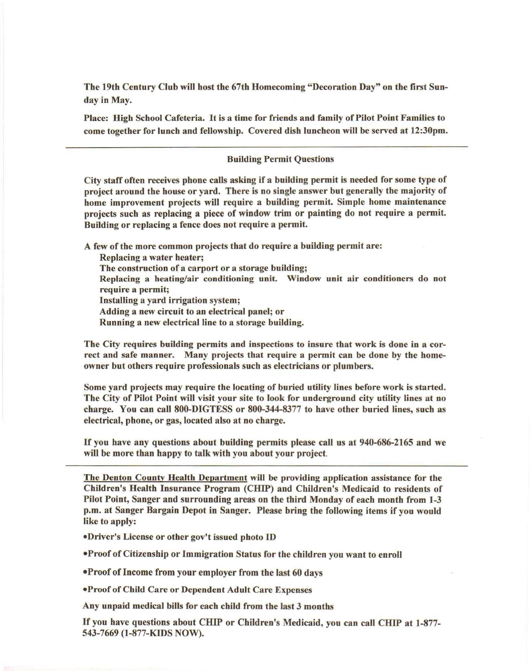The 19th Century Club will host the 67th Homecoming "Decoration Day" on the first Sunday in May.

Place: High School Cafeteria. It is a time for friends and family of Pilot Point Families to come together for lunch and fellowship. Covered dish luncheon will be served at 12:30pm.

### Building Permit Questions

City staff often receives phone calls asking if a building permit is needed for some type of project around the house or yard. There is no single answer but generally the majority of home improvement projects will require a building permit. Simple home maintenance projects such as replacing a piece of window trim or painting do not require a permit. Building or replacing a fence does not require a permit.

A few of the more common projects that do require a building permit are:

Replacing a water heater;

The construction of a carport or a storage building;

Replacing a heating/air conditioning unit. Window unit air conditioners do not require a permit;

Installing a yard irrigation system;

Adding a new circuit to an electrical panel; or

Running a new electrical line to a storage building.

The City requires building permits and inspections to insure that work is done in a correct and safe manner. Many projects that require a permit can be done by the homeowner but others require professionals such as electricians or plumbers.

Some yard projects may require the locating of buried utility lines before work is started. The City of Pilot Point will visit your site to look for underground city utility lines at no charge. You can call 800-DIGTESS or 800-344-8377 to have other buried lines, such as electrical, phone, or gas, located also at no charge.

If you have any questions about building permits please call us at 940-686-2165 and we will be more than happy to talk with you about your project.

The Denton County Health Department will be providing application assistance for tbe Children's Health Insurance Program (CHIP) and Children's Medicaid to residents of Pilot Point, Sanger and surrounding areas on the third Monday of each month from 1-3 p.m. at Sanger Bargain Depot in Sanger. Please bring the following items if you would like to apply:

.Driver's License or otber gov't issued pboto ID

·Proof of Citizenship or Immigration Status for the children you want to enroll

**.Proof of Income from your employer from the last 60 days** 

.Proof of Child Care or Dependent Adult Care Expenses

Any unpaid medical bills for each child from the last 3 months

If you have questions about CHIP or Children's Medicaid, you can call CHIP at 1-877- 543-7669 (1-877-KIDS NOW).